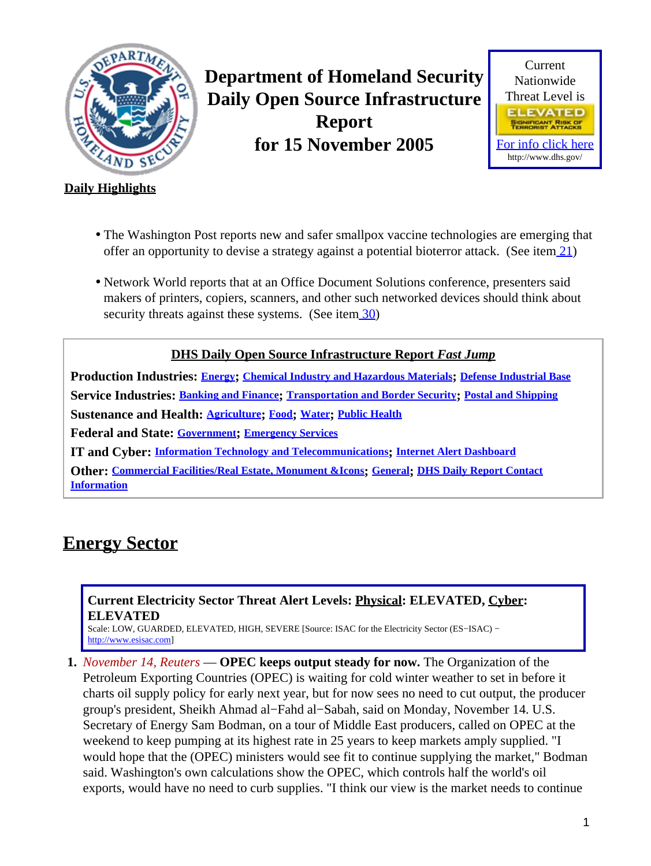<span id="page-0-1"></span>

**Department of Homeland Security Daily Open Source Infrastructure Report for 15 November 2005**



#### **Daily Highlights**

- The Washington Post reports new and safer smallpox vaccine technologies are emerging that offer an opportunity to devise a strategy against a potential bioterror attack. (See ite[m 21](#page-7-0))
- Network World reports that at an Office Document Solutions conference, presenters said makers of printers, copiers, scanners, and other such networked devices should think about security threats against these systems. (See ite[m 30](#page-10-0))

**DHS Daily Open Source Infrastructure Report** *Fast Jump*

**Production Industries: [Energy](#page-0-0); [Chemical Industry and Hazardous Materials](#page-1-0); [Defense Industrial Base](#page-1-1) Service Industries: [Banking and Finance](#page-1-2); [Transportation and Border Security](#page-2-0); [Postal and Shipping](#page-4-0) Sustenance and Health: [Agriculture](#page-4-1); [Food](#page-6-0); [Water](#page-6-1); [Public Health](#page-7-1) Federal and State: [Government](#page-8-0); [Emergency Services](#page-8-1) IT and Cyber: [Information Technology and Telecommunications](#page-10-1); [Internet Alert Dashboard](#page-11-0)**

**Other: [Commercial Facilities/Real Estate, Monument &Icons](#page-12-0); [General](#page-12-1); [DHS Daily Report Contact](#page-12-2) [Information](#page-12-2)**

## <span id="page-0-0"></span>**Energy Sector**

#### **Current Electricity Sector Threat Alert Levels: Physical: ELEVATED, Cyber: ELEVATED**

Scale: LOW, GUARDED, ELEVATED, HIGH, SEVERE [Source: ISAC for the Electricity Sector (ES−ISAC) − [http://www.esisac.com](http://esisac.com)]

**1.** *November 14, Reuters* — **OPEC keeps output steady for now.** The Organization of the Petroleum Exporting Countries (OPEC) is waiting for cold winter weather to set in before it charts oil supply policy for early next year, but for now sees no need to cut output, the producer group's president, Sheikh Ahmad al−Fahd al−Sabah, said on Monday, November 14. U.S. Secretary of Energy Sam Bodman, on a tour of Middle East producers, called on OPEC at the weekend to keep pumping at its highest rate in 25 years to keep markets amply supplied. "I would hope that the (OPEC) ministers would see fit to continue supplying the market," Bodman said. Washington's own calculations show the OPEC, which controls half the world's oil exports, would have no need to curb supplies. "I think our view is the market needs to continue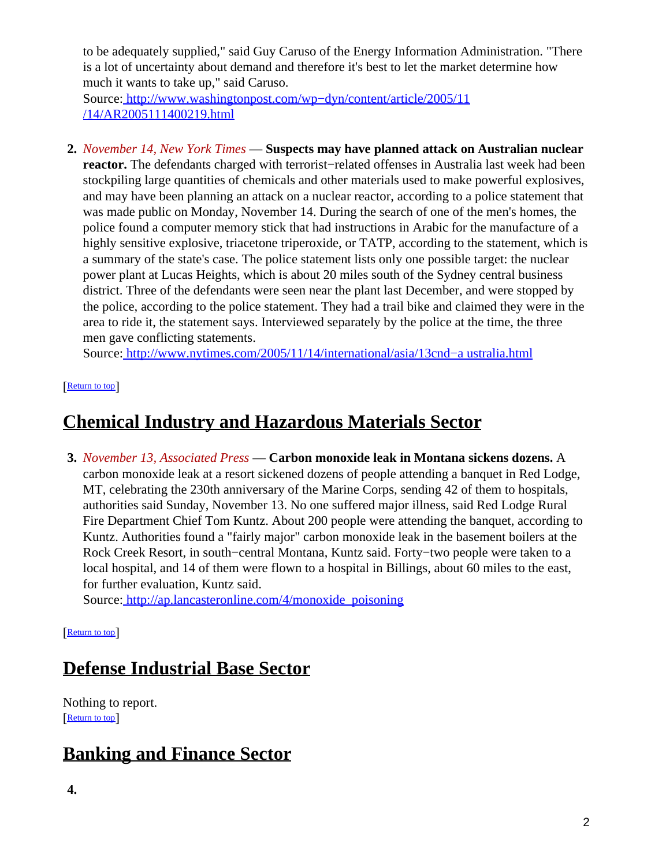to be adequately supplied," said Guy Caruso of the Energy Information Administration. "There is a lot of uncertainty about demand and therefore it's best to let the market determine how much it wants to take up," said Caruso.

Source[: http://www.washingtonpost.com/wp−dyn/content/article/2005/11](http://www.washingtonpost.com/wp-dyn/content/article/2005/11/14/AR2005111400219.html) [/14/AR2005111400219.html](http://www.washingtonpost.com/wp-dyn/content/article/2005/11/14/AR2005111400219.html)

**2.** *November 14, New York Times* — **Suspects may have planned attack on Australian nuclear reactor.** The defendants charged with terrorist−related offenses in Australia last week had been stockpiling large quantities of chemicals and other materials used to make powerful explosives, and may have been planning an attack on a nuclear reactor, according to a police statement that was made public on Monday, November 14. During the search of one of the men's homes, the police found a computer memory stick that had instructions in Arabic for the manufacture of a highly sensitive explosive, triacetone triperoxide, or TATP, according to the statement, which is a summary of the state's case. The police statement lists only one possible target: the nuclear power plant at Lucas Heights, which is about 20 miles south of the Sydney central business district. Three of the defendants were seen near the plant last December, and were stopped by the police, according to the police statement. They had a trail bike and claimed they were in the area to ride it, the statement says. Interviewed separately by the police at the time, the three men gave conflicting statements.

Source[: http://www.nytimes.com/2005/11/14/international/asia/13cnd−a ustralia.html](http://www.nytimes.com/2005/11/14/international/asia/13cnd-australia.html)

[[Return to top](#page-0-1)]

## <span id="page-1-0"></span>**Chemical Industry and Hazardous Materials Sector**

**3.** *November 13, Associated Press* — **Carbon monoxide leak in Montana sickens dozens.** A carbon monoxide leak at a resort sickened dozens of people attending a banquet in Red Lodge, MT, celebrating the 230th anniversary of the Marine Corps, sending 42 of them to hospitals, authorities said Sunday, November 13. No one suffered major illness, said Red Lodge Rural Fire Department Chief Tom Kuntz. About 200 people were attending the banquet, according to Kuntz. Authorities found a "fairly major" carbon monoxide leak in the basement boilers at the Rock Creek Resort, in south−central Montana, Kuntz said. Forty−two people were taken to a local hospital, and 14 of them were flown to a hospital in Billings, about 60 miles to the east, for further evaluation, Kuntz said.

Source[: http://ap.lancasteronline.com/4/monoxide\\_poisoning](http://ap.lancasteronline.com/4/monoxide_poisoning)

[[Return to top](#page-0-1)]

# <span id="page-1-1"></span>**Defense Industrial Base Sector**

Nothing to report. [[Return to top](#page-0-1)]

# <span id="page-1-2"></span>**Banking and Finance Sector**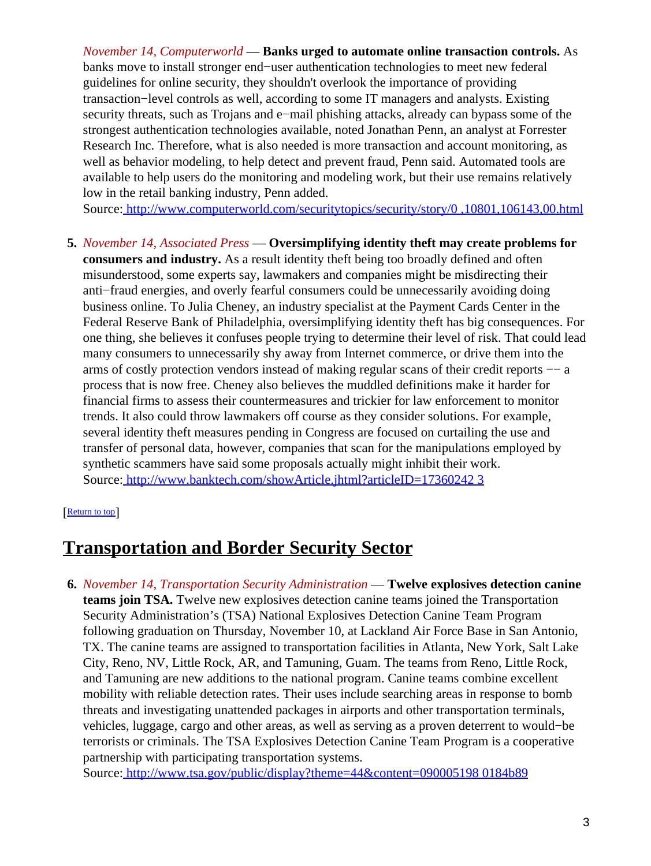*November 14, Computerworld* — **Banks urged to automate online transaction controls.** As banks move to install stronger end−user authentication technologies to meet new federal guidelines for online security, they shouldn't overlook the importance of providing transaction−level controls as well, according to some IT managers and analysts. Existing security threats, such as Trojans and e−mail phishing attacks, already can bypass some of the strongest authentication technologies available, noted Jonathan Penn, an analyst at Forrester Research Inc. Therefore, what is also needed is more transaction and account monitoring, as well as behavior modeling, to help detect and prevent fraud, Penn said. Automated tools are available to help users do the monitoring and modeling work, but their use remains relatively low in the retail banking industry, Penn added.

Source[: http://www.computerworld.com/securitytopics/security/story/0 ,10801,106143,00.html](http://www.computerworld.com/securitytopics/security/story/0,10801,106143,00.html)

- **5.** *November 14, Associated Press* — **Oversimplifying identity theft may create problems for consumers and industry.** As a result identity theft being too broadly defined and often
	- misunderstood, some experts say, lawmakers and companies might be misdirecting their anti−fraud energies, and overly fearful consumers could be unnecessarily avoiding doing business online. To Julia Cheney, an industry specialist at the Payment Cards Center in the Federal Reserve Bank of Philadelphia, oversimplifying identity theft has big consequences. For one thing, she believes it confuses people trying to determine their level of risk. That could lead many consumers to unnecessarily shy away from Internet commerce, or drive them into the arms of costly protection vendors instead of making regular scans of their credit reports −− a process that is now free. Cheney also believes the muddled definitions make it harder for financial firms to assess their countermeasures and trickier for law enforcement to monitor trends. It also could throw lawmakers off course as they consider solutions. For example, several identity theft measures pending in Congress are focused on curtailing the use and transfer of personal data, however, companies that scan for the manipulations employed by synthetic scammers have said some proposals actually might inhibit their work. Source[: http://www.banktech.com/showArticle.jhtml?articleID=17360242 3](http://www.banktech.com/showArticle.jhtml?articleID=173602423)

#### [[Return to top](#page-0-1)]

### <span id="page-2-0"></span>**Transportation and Border Security Sector**

**6.** *November 14, Transportation Security Administration* — **Twelve explosives detection canine teams join TSA.** Twelve new explosives detection canine teams joined the Transportation Security Administration's (TSA) National Explosives Detection Canine Team Program following graduation on Thursday, November 10, at Lackland Air Force Base in San Antonio, TX. The canine teams are assigned to transportation facilities in Atlanta, New York, Salt Lake City, Reno, NV, Little Rock, AR, and Tamuning, Guam. The teams from Reno, Little Rock, and Tamuning are new additions to the national program. Canine teams combine excellent mobility with reliable detection rates. Their uses include searching areas in response to bomb threats and investigating unattended packages in airports and other transportation terminals, vehicles, luggage, cargo and other areas, as well as serving as a proven deterrent to would−be terrorists or criminals. The TSA Explosives Detection Canine Team Program is a cooperative partnership with participating transportation systems.

Source[: http://www.tsa.gov/public/display?theme=44&content=090005198 0184b89](http://www.tsa.gov/public/display?theme=44&content=0900051980184b89)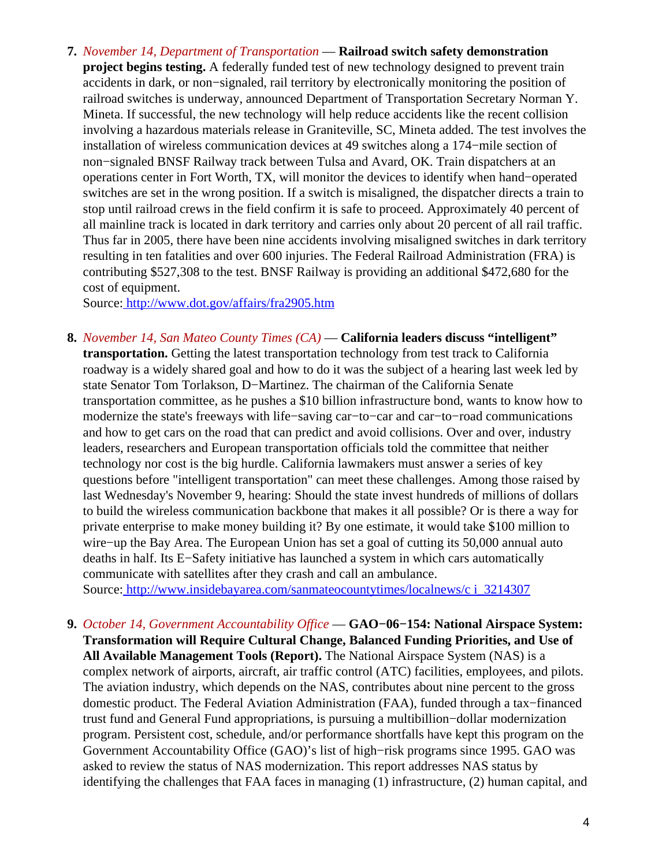**7.** *November 14, Department of Transportation* — **Railroad switch safety demonstration project begins testing.** A federally funded test of new technology designed to prevent train accidents in dark, or non−signaled, rail territory by electronically monitoring the position of railroad switches is underway, announced Department of Transportation Secretary Norman Y. Mineta. If successful, the new technology will help reduce accidents like the recent collision involving a hazardous materials release in Graniteville, SC, Mineta added. The test involves the installation of wireless communication devices at 49 switches along a 174−mile section of non−signaled BNSF Railway track between Tulsa and Avard, OK. Train dispatchers at an operations center in Fort Worth, TX, will monitor the devices to identify when hand−operated switches are set in the wrong position. If a switch is misaligned, the dispatcher directs a train to stop until railroad crews in the field confirm it is safe to proceed. Approximately 40 percent of all mainline track is located in dark territory and carries only about 20 percent of all rail traffic. Thus far in 2005, there have been nine accidents involving misaligned switches in dark territory resulting in ten fatalities and over 600 injuries. The Federal Railroad Administration (FRA) is contributing \$527,308 to the test. BNSF Railway is providing an additional \$472,680 for the cost of equipment.

Source[: http://www.dot.gov/affairs/fra2905.htm](http://www.dot.gov/affairs/fra2905.htm)

**8.** *November 14, San Mateo County Times (CA)* — **California leaders discuss "intelligent" transportation.** Getting the latest transportation technology from test track to California roadway is a widely shared goal and how to do it was the subject of a hearing last week led by state Senator Tom Torlakson, D−Martinez. The chairman of the California Senate transportation committee, as he pushes a \$10 billion infrastructure bond, wants to know how to modernize the state's freeways with life−saving car−to−car and car−to−road communications and how to get cars on the road that can predict and avoid collisions. Over and over, industry leaders, researchers and European transportation officials told the committee that neither technology nor cost is the big hurdle. California lawmakers must answer a series of key questions before "intelligent transportation" can meet these challenges. Among those raised by last Wednesday's November 9, hearing: Should the state invest hundreds of millions of dollars to build the wireless communication backbone that makes it all possible? Or is there a way for private enterprise to make money building it? By one estimate, it would take \$100 million to wire−up the Bay Area. The European Union has set a goal of cutting its 50,000 annual auto deaths in half. Its E−Safety initiative has launched a system in which cars automatically communicate with satellites after they crash and call an ambulance.

Source[: http://www.insidebayarea.com/sanmateocountytimes/localnews/c i\\_3214307](http://www.insidebayarea.com/sanmateocountytimes/localnews/ci_3214307)

**9.** *October 14, Government Accountability Office* — **GAO−06−154: National Airspace System: Transformation will Require Cultural Change, Balanced Funding Priorities, and Use of All Available Management Tools (Report).** The National Airspace System (NAS) is a complex network of airports, aircraft, air traffic control (ATC) facilities, employees, and pilots. The aviation industry, which depends on the NAS, contributes about nine percent to the gross domestic product. The Federal Aviation Administration (FAA), funded through a tax−financed trust fund and General Fund appropriations, is pursuing a multibillion−dollar modernization program. Persistent cost, schedule, and/or performance shortfalls have kept this program on the Government Accountability Office (GAO)'s list of high−risk programs since 1995. GAO was asked to review the status of NAS modernization. This report addresses NAS status by identifying the challenges that FAA faces in managing (1) infrastructure, (2) human capital, and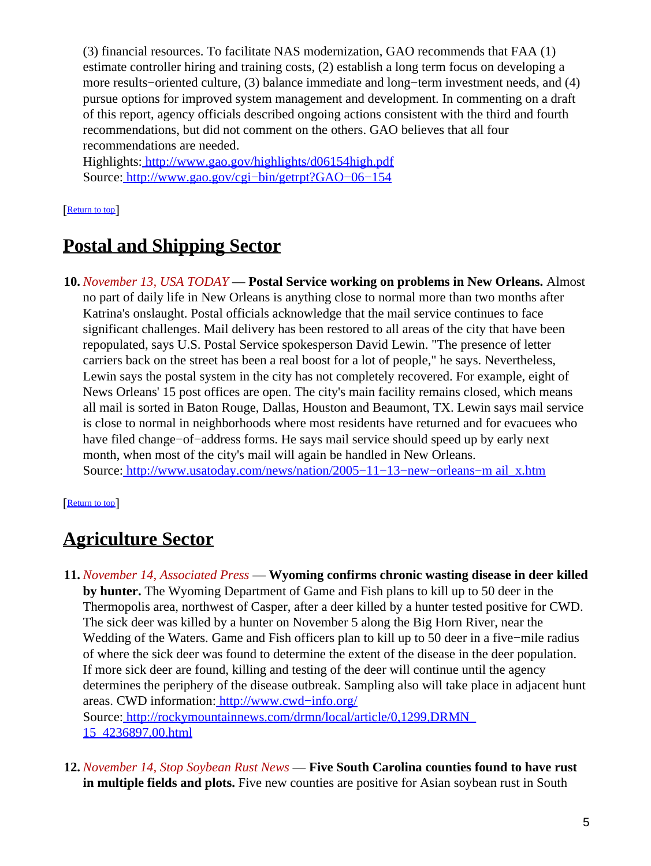(3) financial resources. To facilitate NAS modernization, GAO recommends that FAA (1) estimate controller hiring and training costs, (2) establish a long term focus on developing a more results−oriented culture, (3) balance immediate and long−term investment needs, and (4) pursue options for improved system management and development. In commenting on a draft of this report, agency officials described ongoing actions consistent with the third and fourth recommendations, but did not comment on the others. GAO believes that all four recommendations are needed.

Highlights:<http://www.gao.gov/highlights/d06154high.pdf> Source[: http://www.gao.gov/cgi−bin/getrpt?GAO−06−154](http://www.gao.gov/cgi-bin/getrpt?GAO-06-154)

#### [[Return to top](#page-0-1)]

# <span id="page-4-0"></span>**Postal and Shipping Sector**

**10.** *November 13, USA TODAY* — **Postal Service working on problems in New Orleans.** Almost no part of daily life in New Orleans is anything close to normal more than two months after Katrina's onslaught. Postal officials acknowledge that the mail service continues to face significant challenges. Mail delivery has been restored to all areas of the city that have been repopulated, says U.S. Postal Service spokesperson David Lewin. "The presence of letter carriers back on the street has been a real boost for a lot of people," he says. Nevertheless, Lewin says the postal system in the city has not completely recovered. For example, eight of News Orleans' 15 post offices are open. The city's main facility remains closed, which means all mail is sorted in Baton Rouge, Dallas, Houston and Beaumont, TX. Lewin says mail service is close to normal in neighborhoods where most residents have returned and for evacuees who have filed change−of−address forms. He says mail service should speed up by early next month, when most of the city's mail will again be handled in New Orleans. Source[: http://www.usatoday.com/news/nation/2005−11−13−new−orleans−m ail\\_x.htm](http://www.usatoday.com/news/nation/2005-11-13-new-orleans-mail_x.htm)

[[Return to top](#page-0-1)]

# <span id="page-4-1"></span>**Agriculture Sector**

- **11.** *November 14, Associated Press* — **Wyoming confirms chronic wasting disease in deer killed by hunter.** The Wyoming Department of Game and Fish plans to kill up to 50 deer in the Thermopolis area, northwest of Casper, after a deer killed by a hunter tested positive for CWD. The sick deer was killed by a hunter on November 5 along the Big Horn River, near the Wedding of the Waters. Game and Fish officers plan to kill up to 50 deer in a five−mile radius of where the sick deer was found to determine the extent of the disease in the deer population. If more sick deer are found, killing and testing of the deer will continue until the agency determines the periphery of the disease outbreak. Sampling also will take place in adjacent hunt areas. CWD information: [http://www.cwd−info.org/](http://www.cwd-info.org/) Source[: http://rockymountainnews.com/drmn/local/article/0,1299,DRMN\\_](http://rockymountainnews.com/drmn/local/article/0,1299,DRMN_15_4236897,00.html) [15\\_4236897,00.html](http://rockymountainnews.com/drmn/local/article/0,1299,DRMN_15_4236897,00.html)
- **12.** *November 14, Stop Soybean Rust News* — **Five South Carolina counties found to have rust in multiple fields and plots.** Five new counties are positive for Asian soybean rust in South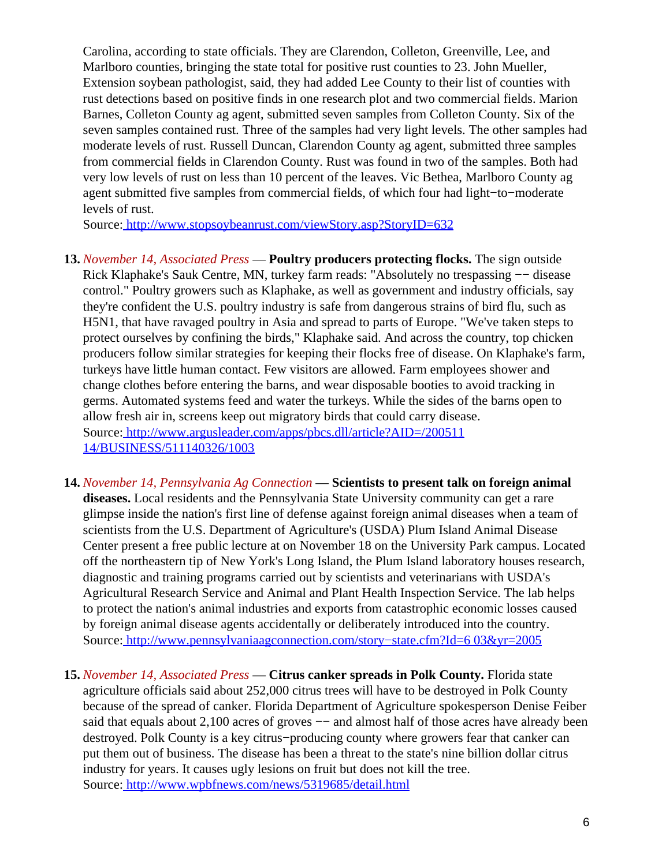Carolina, according to state officials. They are Clarendon, Colleton, Greenville, Lee, and Marlboro counties, bringing the state total for positive rust counties to 23. John Mueller, Extension soybean pathologist, said, they had added Lee County to their list of counties with rust detections based on positive finds in one research plot and two commercial fields. Marion Barnes, Colleton County ag agent, submitted seven samples from Colleton County. Six of the seven samples contained rust. Three of the samples had very light levels. The other samples had moderate levels of rust. Russell Duncan, Clarendon County ag agent, submitted three samples from commercial fields in Clarendon County. Rust was found in two of the samples. Both had very low levels of rust on less than 10 percent of the leaves. Vic Bethea, Marlboro County ag agent submitted five samples from commercial fields, of which four had light−to−moderate levels of rust.

Source[: http://www.stopsoybeanrust.com/viewStory.asp?StoryID=632](http://www.stopsoybeanrust.com/viewStory.asp?StoryID=632)

- **13.** *November 14, Associated Press* — **Poultry producers protecting flocks.** The sign outside Rick Klaphake's Sauk Centre, MN, turkey farm reads: "Absolutely no trespassing −− disease control." Poultry growers such as Klaphake, as well as government and industry officials, say they're confident the U.S. poultry industry is safe from dangerous strains of bird flu, such as H5N1, that have ravaged poultry in Asia and spread to parts of Europe. "We've taken steps to protect ourselves by confining the birds," Klaphake said. And across the country, top chicken producers follow similar strategies for keeping their flocks free of disease. On Klaphake's farm, turkeys have little human contact. Few visitors are allowed. Farm employees shower and change clothes before entering the barns, and wear disposable booties to avoid tracking in germs. Automated systems feed and water the turkeys. While the sides of the barns open to allow fresh air in, screens keep out migratory birds that could carry disease. Source[: http://www.argusleader.com/apps/pbcs.dll/article?AID=/200511](http://www.argusleader.com/apps/pbcs.dll/article?AID=/20051114/BUSINESS/511140326/1003) [14/BUSINESS/511140326/1003](http://www.argusleader.com/apps/pbcs.dll/article?AID=/20051114/BUSINESS/511140326/1003)
- **14.** *November 14, Pennsylvania Ag Connection* — **Scientists to present talk on foreign animal diseases.** Local residents and the Pennsylvania State University community can get a rare glimpse inside the nation's first line of defense against foreign animal diseases when a team of scientists from the U.S. Department of Agriculture's (USDA) Plum Island Animal Disease Center present a free public lecture at on November 18 on the University Park campus. Located off the northeastern tip of New York's Long Island, the Plum Island laboratory houses research, diagnostic and training programs carried out by scientists and veterinarians with USDA's Agricultural Research Service and Animal and Plant Health Inspection Service. The lab helps to protect the nation's animal industries and exports from catastrophic economic losses caused by foreign animal disease agents accidentally or deliberately introduced into the country. Source[: http://www.pennsylvaniaagconnection.com/story−state.cfm?Id=6 03&yr=2005](http://www.pennsylvaniaagconnection.com/story-state.cfm?Id=603&yr=2005)
- **15.** *November 14, Associated Press* — **Citrus canker spreads in Polk County.** Florida state agriculture officials said about 252,000 citrus trees will have to be destroyed in Polk County because of the spread of canker. Florida Department of Agriculture spokesperson Denise Feiber said that equals about 2,100 acres of groves  $-$  and almost half of those acres have already been destroyed. Polk County is a key citrus−producing county where growers fear that canker can put them out of business. The disease has been a threat to the state's nine billion dollar citrus industry for years. It causes ugly lesions on fruit but does not kill the tree. Source[: http://www.wpbfnews.com/news/5319685/detail.html](http://www.wpbfnews.com/news/5319685/detail.html)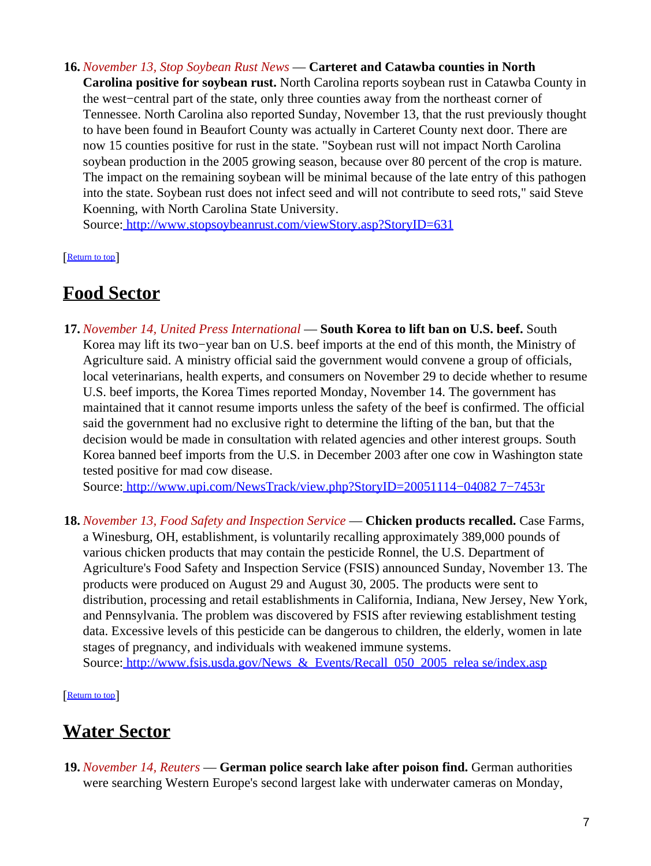**16.** *November 13, Stop Soybean Rust News* — **Carteret and Catawba counties in North Carolina positive for soybean rust.** North Carolina reports soybean rust in Catawba County in the west−central part of the state, only three counties away from the northeast corner of Tennessee. North Carolina also reported Sunday, November 13, that the rust previously thought to have been found in Beaufort County was actually in Carteret County next door. There are now 15 counties positive for rust in the state. "Soybean rust will not impact North Carolina soybean production in the 2005 growing season, because over 80 percent of the crop is mature. The impact on the remaining soybean will be minimal because of the late entry of this pathogen into the state. Soybean rust does not infect seed and will not contribute to seed rots," said Steve Koenning, with North Carolina State University.

Source[: http://www.stopsoybeanrust.com/viewStory.asp?StoryID=631](http://www.stopsoybeanrust.com/viewStory.asp?StoryID=631)

[[Return to top](#page-0-1)]

### <span id="page-6-0"></span>**Food Sector**

**17.** *November 14, United Press International* — **South Korea to lift ban on U.S. beef.** South Korea may lift its two−year ban on U.S. beef imports at the end of this month, the Ministry of Agriculture said. A ministry official said the government would convene a group of officials, local veterinarians, health experts, and consumers on November 29 to decide whether to resume U.S. beef imports, the Korea Times reported Monday, November 14. The government has maintained that it cannot resume imports unless the safety of the beef is confirmed. The official said the government had no exclusive right to determine the lifting of the ban, but that the decision would be made in consultation with related agencies and other interest groups. South Korea banned beef imports from the U.S. in December 2003 after one cow in Washington state tested positive for mad cow disease.

Source[: http://www.upi.com/NewsTrack/view.php?StoryID=20051114−04082 7−7453r](http://www.upi.com/NewsTrack/view.php?StoryID=20051114-040827-7453r)

**18.** *November 13, Food Safety and Inspection Service* — **Chicken products recalled.** Case Farms, a Winesburg, OH, establishment, is voluntarily recalling approximately 389,000 pounds of various chicken products that may contain the pesticide Ronnel, the U.S. Department of Agriculture's Food Safety and Inspection Service (FSIS) announced Sunday, November 13. The products were produced on August 29 and August 30, 2005. The products were sent to distribution, processing and retail establishments in California, Indiana, New Jersey, New York, and Pennsylvania. The problem was discovered by FSIS after reviewing establishment testing data. Excessive levels of this pesticide can be dangerous to children, the elderly, women in late stages of pregnancy, and individuals with weakened immune systems. Source: http://www.fsis.usda.gov/News & Events/Recall 050 2005 relea se/index.asp

[[Return to top](#page-0-1)]

## <span id="page-6-1"></span>**Water Sector**

**19.** *November 14, Reuters* — **German police search lake after poison find.** German authorities were searching Western Europe's second largest lake with underwater cameras on Monday,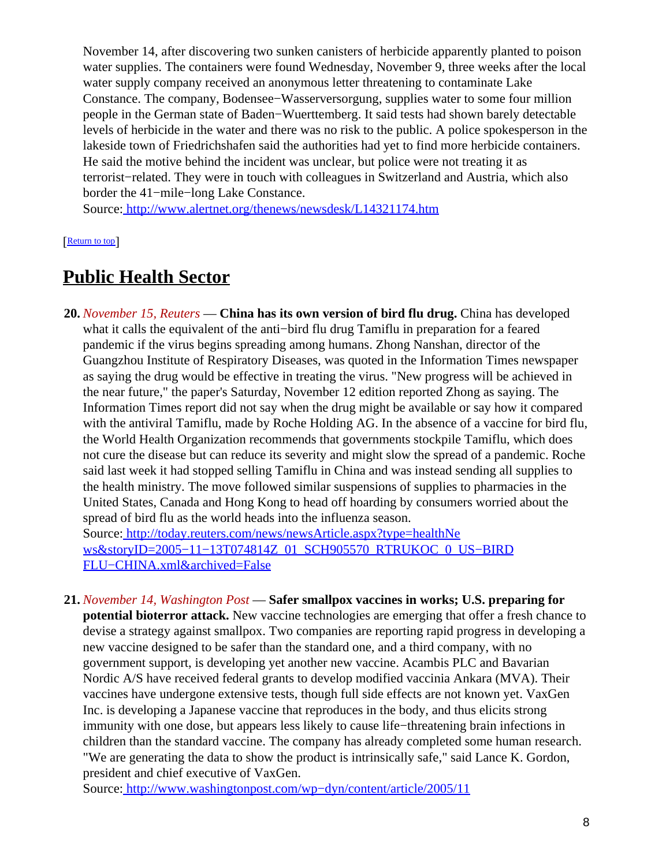November 14, after discovering two sunken canisters of herbicide apparently planted to poison water supplies. The containers were found Wednesday, November 9, three weeks after the local water supply company received an anonymous letter threatening to contaminate Lake Constance. The company, Bodensee−Wasserversorgung, supplies water to some four million people in the German state of Baden−Wuerttemberg. It said tests had shown barely detectable levels of herbicide in the water and there was no risk to the public. A police spokesperson in the lakeside town of Friedrichshafen said the authorities had yet to find more herbicide containers. He said the motive behind the incident was unclear, but police were not treating it as terrorist−related. They were in touch with colleagues in Switzerland and Austria, which also border the 41−mile−long Lake Constance.

Source[: http://www.alertnet.org/thenews/newsdesk/L14321174.htm](http://www.alertnet.org/thenews/newsdesk/L14321174.htm)

**[Return to top](#page-0-1)** 

## <span id="page-7-1"></span>**Public Health Sector**

**20.** *November 15, Reuters* — **China has its own version of bird flu drug.** China has developed what it calls the equivalent of the anti−bird flu drug Tamiflu in preparation for a feared pandemic if the virus begins spreading among humans. Zhong Nanshan, director of the Guangzhou Institute of Respiratory Diseases, was quoted in the Information Times newspaper as saying the drug would be effective in treating the virus. "New progress will be achieved in the near future," the paper's Saturday, November 12 edition reported Zhong as saying. The Information Times report did not say when the drug might be available or say how it compared with the antiviral Tamiflu, made by Roche Holding AG. In the absence of a vaccine for bird flu, the World Health Organization recommends that governments stockpile Tamiflu, which does not cure the disease but can reduce its severity and might slow the spread of a pandemic. Roche said last week it had stopped selling Tamiflu in China and was instead sending all supplies to the health ministry. The move followed similar suspensions of supplies to pharmacies in the United States, Canada and Hong Kong to head off hoarding by consumers worried about the spread of bird flu as the world heads into the influenza season. Source[: http://today.reuters.com/news/newsArticle.aspx?type=healthNe](http://today.reuters.com/news/newsArticle.aspx?type=healthNews&storyID=2005-11-13T074814Z_01_SCH905570_RTRUKOC_0_US-BIRDFLU-CHINA.xml&archived=False)

ws&storyID=2005-11-13T074814Z\_01\_SCH905570\_RTRUKOC\_0\_US-BIRD [FLU−CHINA.xml&archived=False](http://today.reuters.com/news/newsArticle.aspx?type=healthNews&storyID=2005-11-13T074814Z_01_SCH905570_RTRUKOC_0_US-BIRDFLU-CHINA.xml&archived=False)

<span id="page-7-0"></span>**21.** *November 14, Washington Post* — **Safer smallpox vaccines in works; U.S. preparing for potential bioterror attack.** New vaccine technologies are emerging that offer a fresh chance to devise a strategy against smallpox. Two companies are reporting rapid progress in developing a new vaccine designed to be safer than the standard one, and a third company, with no government support, is developing yet another new vaccine. Acambis PLC and Bavarian Nordic A/S have received federal grants to develop modified vaccinia Ankara (MVA). Their vaccines have undergone extensive tests, though full side effects are not known yet. VaxGen Inc. is developing a Japanese vaccine that reproduces in the body, and thus elicits strong immunity with one dose, but appears less likely to cause life−threatening brain infections in children than the standard vaccine. The company has already completed some human research. "We are generating the data to show the product is intrinsically safe," said Lance K. Gordon, president and chief executive of VaxGen.

Source[: http://www.washingtonpost.com/wp−dyn/content/article/2005/11](http://www.washingtonpost.com/wp-dyn/content/article/2005/11/13/AR2005111301006.html?sub=AR)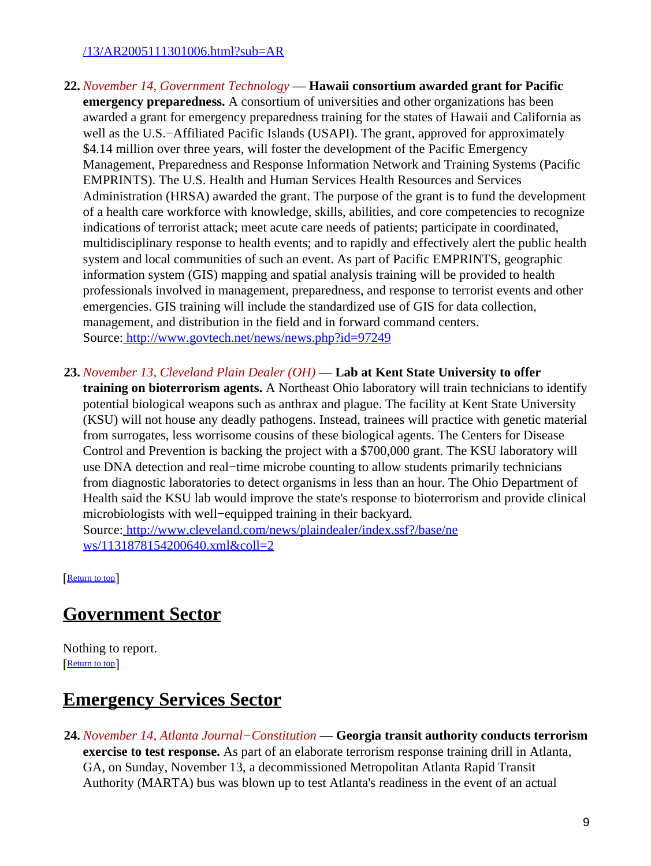#### [/13/AR2005111301006.html?sub=AR](http://www.washingtonpost.com/wp-dyn/content/article/2005/11/13/AR2005111301006.html?sub=AR)

- **22.** *November 14, Government Technology* — **Hawaii consortium awarded grant for Pacific emergency preparedness.** A consortium of universities and other organizations has been awarded a grant for emergency preparedness training for the states of Hawaii and California as well as the U.S.−Affiliated Pacific Islands (USAPI). The grant, approved for approximately \$4.14 million over three years, will foster the development of the Pacific Emergency Management, Preparedness and Response Information Network and Training Systems (Pacific EMPRINTS). The U.S. Health and Human Services Health Resources and Services Administration (HRSA) awarded the grant. The purpose of the grant is to fund the development of a health care workforce with knowledge, skills, abilities, and core competencies to recognize indications of terrorist attack; meet acute care needs of patients; participate in coordinated, multidisciplinary response to health events; and to rapidly and effectively alert the public health system and local communities of such an event. As part of Pacific EMPRINTS, geographic information system (GIS) mapping and spatial analysis training will be provided to health professionals involved in management, preparedness, and response to terrorist events and other emergencies. GIS training will include the standardized use of GIS for data collection, management, and distribution in the field and in forward command centers. Source[: http://www.govtech.net/news/news.php?id=97249](http://www.govtech.net/news/news.php?id=97249)
- **23.** *November 13, Cleveland Plain Dealer (OH)* — **Lab at Kent State University to offer**

**training on bioterrorism agents.** A Northeast Ohio laboratory will train technicians to identify potential biological weapons such as anthrax and plague. The facility at Kent State University (KSU) will not house any deadly pathogens. Instead, trainees will practice with genetic material from surrogates, less worrisome cousins of these biological agents. The Centers for Disease Control and Prevention is backing the project with a \$700,000 grant. The KSU laboratory will use DNA detection and real−time microbe counting to allow students primarily technicians from diagnostic laboratories to detect organisms in less than an hour. The Ohio Department of Health said the KSU lab would improve the state's response to bioterrorism and provide clinical microbiologists with well−equipped training in their backyard. Source[: http://www.cleveland.com/news/plaindealer/index.ssf?/base/ne](http://www.cleveland.com/news/plaindealer/index.ssf?/base/news/1131878154200640.xml&coll=2)

[ws/1131878154200640.xml&coll=2](http://www.cleveland.com/news/plaindealer/index.ssf?/base/news/1131878154200640.xml&coll=2)

[[Return to top](#page-0-1)]

### <span id="page-8-0"></span>**Government Sector**

Nothing to report. [[Return to top](#page-0-1)]

### <span id="page-8-1"></span>**Emergency Services Sector**

**24.** *November 14, Atlanta Journal−Constitution* — **Georgia transit authority conducts terrorism exercise to test response.** As part of an elaborate terrorism response training drill in Atlanta, GA, on Sunday, November 13, a decommissioned Metropolitan Atlanta Rapid Transit Authority (MARTA) bus was blown up to test Atlanta's readiness in the event of an actual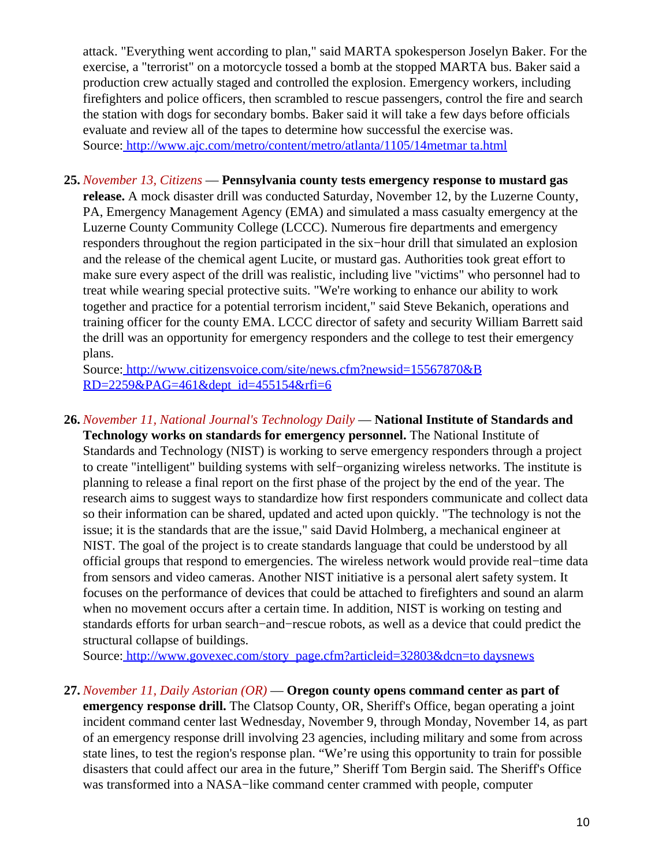attack. "Everything went according to plan," said MARTA spokesperson Joselyn Baker. For the exercise, a "terrorist" on a motorcycle tossed a bomb at the stopped MARTA bus. Baker said a production crew actually staged and controlled the explosion. Emergency workers, including firefighters and police officers, then scrambled to rescue passengers, control the fire and search the station with dogs for secondary bombs. Baker said it will take a few days before officials evaluate and review all of the tapes to determine how successful the exercise was. Source[: http://www.ajc.com/metro/content/metro/atlanta/1105/14metmar ta.html](http://www.ajc.com/metro/content/metro/atlanta/1105/14metmarta.html)

**25.** *November 13, Citizens* — **Pennsylvania county tests emergency response to mustard gas release.** A mock disaster drill was conducted Saturday, November 12, by the Luzerne County, PA, Emergency Management Agency (EMA) and simulated a mass casualty emergency at the Luzerne County Community College (LCCC). Numerous fire departments and emergency responders throughout the region participated in the six−hour drill that simulated an explosion and the release of the chemical agent Lucite, or mustard gas. Authorities took great effort to make sure every aspect of the drill was realistic, including live "victims" who personnel had to treat while wearing special protective suits. "We're working to enhance our ability to work together and practice for a potential terrorism incident," said Steve Bekanich, operations and training officer for the county EMA. LCCC director of safety and security William Barrett said the drill was an opportunity for emergency responders and the college to test their emergency plans.

Source[: http://www.citizensvoice.com/site/news.cfm?newsid=15567870&B](http://www.citizensvoice.com/site/news.cfm?newsid=15567870&BRD=2259&PAG=461&dept_id=455154&rfi=6) [RD=2259&PAG=461&dept\\_id=455154&rfi=6](http://www.citizensvoice.com/site/news.cfm?newsid=15567870&BRD=2259&PAG=461&dept_id=455154&rfi=6)

**26.** *November 11, National Journal's Technology Daily* — **National Institute of Standards and Technology works on standards for emergency personnel.** The National Institute of Standards and Technology (NIST) is working to serve emergency responders through a project to create "intelligent" building systems with self−organizing wireless networks. The institute is planning to release a final report on the first phase of the project by the end of the year. The research aims to suggest ways to standardize how first responders communicate and collect data so their information can be shared, updated and acted upon quickly. "The technology is not the issue; it is the standards that are the issue," said David Holmberg, a mechanical engineer at NIST. The goal of the project is to create standards language that could be understood by all official groups that respond to emergencies. The wireless network would provide real−time data from sensors and video cameras. Another NIST initiative is a personal alert safety system. It focuses on the performance of devices that could be attached to firefighters and sound an alarm when no movement occurs after a certain time. In addition, NIST is working on testing and standards efforts for urban search−and−rescue robots, as well as a device that could predict the structural collapse of buildings.

Source[: http://www.govexec.com/story\\_page.cfm?articleid=32803&dcn=to daysnews](http://www.govexec.com/story_page.cfm?articleid=32803&dcn=todaysnews)

**27.** *November 11, Daily Astorian (OR)* — **Oregon county opens command center as part of**

**emergency response drill.** The Clatsop County, OR, Sheriff's Office, began operating a joint incident command center last Wednesday, November 9, through Monday, November 14, as part of an emergency response drill involving 23 agencies, including military and some from across state lines, to test the region's response plan. "We're using this opportunity to train for possible disasters that could affect our area in the future," Sheriff Tom Bergin said. The Sheriff's Office was transformed into a NASA−like command center crammed with people, computer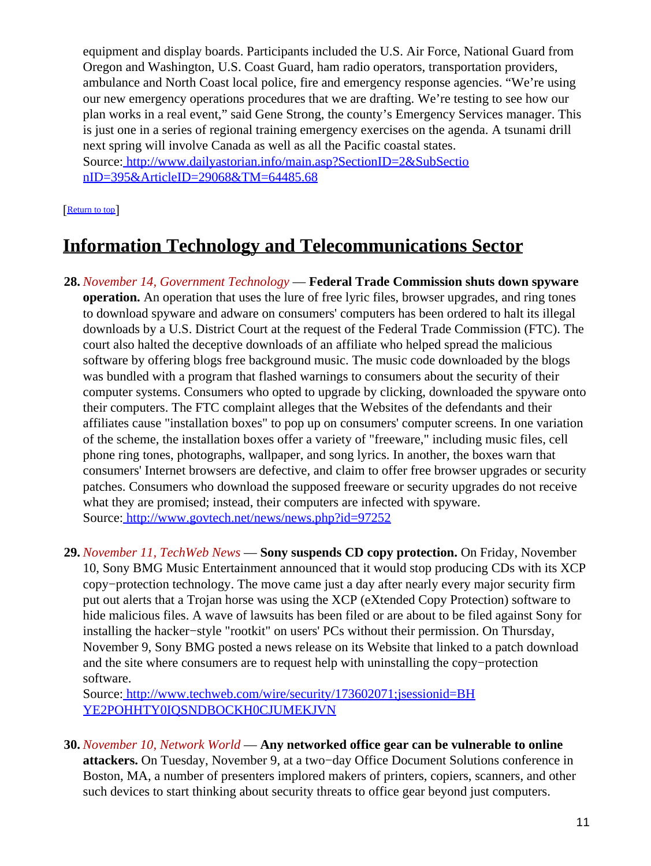equipment and display boards. Participants included the U.S. Air Force, National Guard from Oregon and Washington, U.S. Coast Guard, ham radio operators, transportation providers, ambulance and North Coast local police, fire and emergency response agencies. "We're using our new emergency operations procedures that we are drafting. We're testing to see how our plan works in a real event," said Gene Strong, the county's Emergency Services manager. This is just one in a series of regional training emergency exercises on the agenda. A tsunami drill next spring will involve Canada as well as all the Pacific coastal states. Source[: http://www.dailyastorian.info/main.asp?SectionID=2&SubSectio](http://www.dailyastorian.info/main.asp?SectionID=2&SubSectionID=395&ArticleID=29068&TM=64485.68)

[nID=395&ArticleID=29068&TM=64485.68](http://www.dailyastorian.info/main.asp?SectionID=2&SubSectionID=395&ArticleID=29068&TM=64485.68)

#### [[Return to top](#page-0-1)]

## <span id="page-10-1"></span>**Information Technology and Telecommunications Sector**

- **28.** *November 14, Government Technology* — **Federal Trade Commission shuts down spyware operation.** An operation that uses the lure of free lyric files, browser upgrades, and ring tones to download spyware and adware on consumers' computers has been ordered to halt its illegal downloads by a U.S. District Court at the request of the Federal Trade Commission (FTC). The court also halted the deceptive downloads of an affiliate who helped spread the malicious software by offering blogs free background music. The music code downloaded by the blogs was bundled with a program that flashed warnings to consumers about the security of their computer systems. Consumers who opted to upgrade by clicking, downloaded the spyware onto their computers. The FTC complaint alleges that the Websites of the defendants and their affiliates cause "installation boxes" to pop up on consumers' computer screens. In one variation of the scheme, the installation boxes offer a variety of "freeware," including music files, cell phone ring tones, photographs, wallpaper, and song lyrics. In another, the boxes warn that consumers' Internet browsers are defective, and claim to offer free browser upgrades or security patches. Consumers who download the supposed freeware or security upgrades do not receive what they are promised; instead, their computers are infected with spyware. Source[: http://www.govtech.net/news/news.php?id=97252](http://www.govtech.net/news/news.php?id=97252)
- **29.** *November 11, TechWeb News* — **Sony suspends CD copy protection.** On Friday, November 10, Sony BMG Music Entertainment announced that it would stop producing CDs with its XCP copy−protection technology. The move came just a day after nearly every major security firm put out alerts that a Trojan horse was using the XCP (eXtended Copy Protection) software to hide malicious files. A wave of lawsuits has been filed or are about to be filed against Sony for installing the hacker−style "rootkit" on users' PCs without their permission. On Thursday, November 9, Sony BMG posted a news release on its Website that linked to a patch download and the site where consumers are to request help with uninstalling the copy−protection software.

Source[: http://www.techweb.com/wire/security/173602071;jsessionid=BH](http://www.techweb.com/wire/security/173602071;jsessionid=BHYE2POHHTY0IQSNDBOCKH0CJUMEKJVN) [YE2POHHTY0IQSNDBOCKH0CJUMEKJVN](http://www.techweb.com/wire/security/173602071;jsessionid=BHYE2POHHTY0IQSNDBOCKH0CJUMEKJVN)

<span id="page-10-0"></span>**30.** *November 10, Network World* — **Any networked office gear can be vulnerable to online attackers.** On Tuesday, November 9, at a two−day Office Document Solutions conference in Boston, MA, a number of presenters implored makers of printers, copiers, scanners, and other such devices to start thinking about security threats to office gear beyond just computers.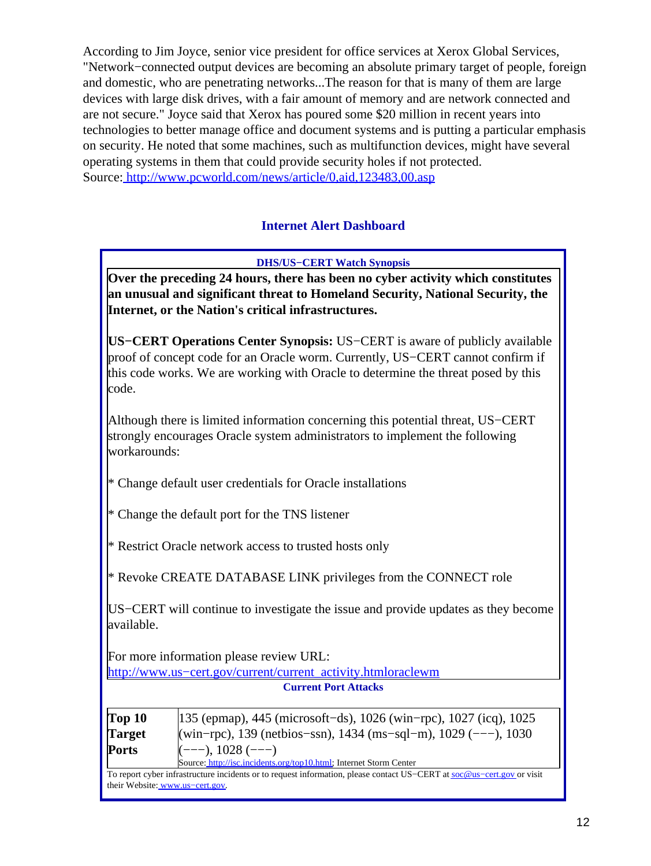According to Jim Joyce, senior vice president for office services at Xerox Global Services, "Network−connected output devices are becoming an absolute primary target of people, foreign and domestic, who are penetrating networks...The reason for that is many of them are large devices with large disk drives, with a fair amount of memory and are network connected and are not secure." Joyce said that Xerox has poured some \$20 million in recent years into technologies to better manage office and document systems and is putting a particular emphasis on security. He noted that some machines, such as multifunction devices, might have several operating systems in them that could provide security holes if not protected. Source[: http://www.pcworld.com/news/article/0,aid,123483,00.asp](http://www.pcworld.com/news/article/0,aid,123483,00.asp)

### **Internet Alert Dashboard**

**DHS/US−CERT Watch Synopsis**

<span id="page-11-0"></span>**Over the preceding 24 hours, there has been no cyber activity which constitutes an unusual and significant threat to Homeland Security, National Security, the Internet, or the Nation's critical infrastructures.**

**US−CERT Operations Center Synopsis:** US−CERT is aware of publicly available proof of concept code for an Oracle worm. Currently, US−CERT cannot confirm if this code works. We are working with Oracle to determine the threat posed by this code.

Although there is limited information concerning this potential threat, US−CERT strongly encourages Oracle system administrators to implement the following workarounds:

- \* Change default user credentials for Oracle installations
- $*$  Change the default port for the TNS listener
- \* Restrict Oracle network access to trusted hosts only

\* Revoke CREATE DATABASE LINK privileges from the CONNECT role

US−CERT will continue to investigate the issue and provide updates as they become available.

For more information please review URL:

[http://www.us−cert.gov/current/current\\_activity.htmloraclewm](http://www.us-cert.gov/current/current_activity.htmloraclewm) **Current Port Attacks**

| Top 10        | $135$ (epmap), 445 (microsoft-ds), 1026 (win-rpc), 1027 (icq), 1025 |
|---------------|---------------------------------------------------------------------|
| <b>Target</b> | (win-rpc), 139 (netbios-ssn), 1434 (ms-sql-m), 1029 (---), 1030     |
| <b>Ports</b>  | $(---), 1028$ $(---)$                                               |
|               | Source: http://isc.incidents.org/top10.html; Internet Storm Center  |

To report cyber infrastructure incidents or to request information, please contact US−CERT at [soc@us−cert.gov](mailto:soc@us-cert.gov) or visit their Website: [www.us−cert.gov.](http://www.us-cert.gov/)